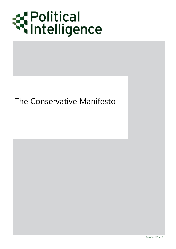

## The Conservative Manifesto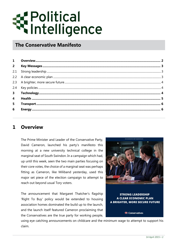# Political<br>Mintelligence

### **The Conservative Manifesto**

| $2^{\circ}$    |  |
|----------------|--|
|                |  |
|                |  |
|                |  |
|                |  |
| 3 <sup>7</sup> |  |
| $\overline{4}$ |  |
| 5 <sup>1</sup> |  |
| 6              |  |
|                |  |

#### <span id="page-1-0"></span>**1 Overview**

The Prime Minister and Leader of the Conservative Party, David Cameron, launched his party's manifesto this morning at a new university technical college in the marginal seat of South Swindon. In a campaign which had, up until this week, seen the two main parties focusing on their core votes, the choice of a marginal seat was perhaps fitting as Cameron, like Miliband yesterday, used this major set piece of the election campaign to attempt to reach out beyond usual Tory voters.

The announcement that Margaret Thatcher's flagship 'Right To Buy' policy would be extended to housing association homes dominated the build up to the launch, and the launch itself featured Cameron proclaiming that the Conservatives are the true party for working people,



**STRONG LEADERSHIP A CLEAR ECONOMIC PLAN A BRIGHTER, MORE SECURE FUTURE** 

Conservatives

using eye catching announcements on childcare and the minimum wage to attempt to support his claim.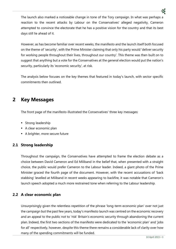The launch also marked a noticeable change in tone of the Tory campaign. In what was perhaps a reaction to the recent attacks by Labour on the Conservatives' alleged negativity, Cameron attempted to convince the electorate that he has a positive vision for the country and that its best days still lie ahead of it.

However, as has become familiar over recent weeks, the manifesto and the launch itself both focused on the theme of 'security', with the Prime Minister claiming that only his party would 'deliver security for working people throughout their lives, throughout our country'. This theme was then built on to suggest that anything but a vote for the Conservatives at the general election would put the nation's security, particularly its 'economic security', at risk.

The analysis below focuses on the key themes that featured in today's launch, with sector specific commitments then outlined.

#### <span id="page-2-0"></span>**2 Key Messages**

The front page of the manifesto illustrated the Conservatives' three key messages:

- **Strong leadership**
- A clear economic plan
- A brighter, more secure future

#### <span id="page-2-1"></span>**2.1 Strong leadership**

Throughout the campaign, the Conservatives have attempted to frame the election debate as a choice between David Cameron and Ed Miliband in the belief that, when presented with a straight choice, the public would prefer Cameron to the Labour leader. Indeed, a giant photo of the Prime Minister graced the fourth page of the document. However, with the recent accusations of 'back stabbing' levelled at Miliband in recent weeks appearing to backfire, it was notable that Cameron's launch speech adopted a much more restrained tone when referring to the Labour leadership.

#### <span id="page-2-2"></span>**2.2 A clear economic plan**

Unsurprisingly given the relentless repetition of the phrase 'long-term economic plan' over not just the campaign but the past few years, today's manifesto launch was centred on the economic recovery and an appeal to the public not to 'risk' Britain's economic security through abandoning the current plan. Indeed, the first two sections of the manifesto were dedicated to the 'economic plan' and 'jobs for all' respectively, however, despite this theme there remains a considerable lack of clarity over how many of the spending commitments will be funded.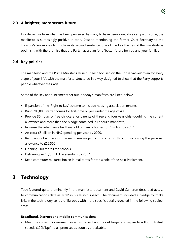

#### <span id="page-3-0"></span>**2.3 A brighter, more secure future**

In a departure from what has been perceived by many to have been a negative campaign so far, the manifesto is surprisingly positive in tone. Despite mentioning the former Chief Secretary to the Treasury's 'no money left' note in its second sentence, one of the key themes of the manifesto is optimism, with the promise that the Party has a plan for a 'better future for you and your family'.

#### <span id="page-3-1"></span>**2.4 Key policies**

The manifesto and the Prime Minister's launch speech focused on the Conservatives' 'plan for every stage of your life', with the manifesto structured in a way designed to show that the Party supports people whatever their age.

Some of the key announcements set out in today's manifesto are listed below:

- Expansion of the 'Right to Buy' scheme to include housing association tenants.
- Build 200,000 starter homes for first-time buyers under the age of 40.
- **Provide 30 hours of free childcare for parents of three and four year olds (doubling the current** allowance and more than the pledge contained in Labour's manifesto).
- **Increase the inheritance tax threshold on family homes to £1million by 2017.**
- An extra £8 billion in NHS spending per year by 2020.
- Removing all workers on the minimum wage from income tax through increasing the personal allowance to £12,500
- Opening 500 more Free schools.
- Delivering an 'in/out' EU referendum by 2017.
- Keep commuter rail fares frozen in real terms for the whole of the next Parliament.

#### <span id="page-3-2"></span>**3 Technology**

Tech featured quite prominently in the manifesto document and David Cameron described access to communications data as 'vital' in his launch speech. The document included a pledge to 'make Britain the technology centre of Europe', with more specific details revealed in the following subject areas:

#### **Broadband, Internet and mobile communications**

 Meet the current Government superfast broadband rollout target and aspire to rollout ultrafast speeds (100Mbps) to all premises as soon as practicable.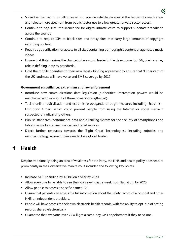- Subsidise the cost of installing superfast capable satellite services in the hardest to reach areas and release more spectrum from public sector use to allow greater private sector access.
- Continue to 'top-slice' the licence fee for digital infrastructure to support superfast broadband across the country.
- Continue to require ISPs to block sites and proxy sites that carry large amounts of copyright infringing content.
- Require age verification for access to all sites containing pornographic content or age-rated music videos
- Ensure that Britain seizes the chance to be a world leader in the development of 5G, playing a key role in defining industry standards.
- Hold the mobile operators to their new legally binding agreement to ensure that 90 per cent of the UK landmass will have voice and SMS coverage by 2017.

#### **Government surveillance, extremism and law enforcement**

- Introduce new communications data legislation (authorities' interception powers would be maintained with oversight of these powers strengthened).
- Tackle online radicalisation and extremist propaganda through measures including 'Extremism Disruption Orders' which could prevent people from using the Internet or social media if suspected of radicalising others.
- Publish standards, performance data and a ranking system for the security of smartphones and tablets, as well as online financial and retail services.
- Direct further resources towards the 'Eight Great Technologies', including robotics and nanotechnology, where Britain aims to be a global leader

#### <span id="page-4-0"></span>**4 Health**

Despite traditionally being an area of weakness for the Party, the NHS and health policy does feature prominently in the Conservative manifesto. It included the following key points:

- Increase NHS spending by £8 billion a year by 2020.
- Allow everyone to be able to see their GP seven days a week from 8am-8pm by 2020.
- Allow people to access a specific named GP.
- Ensure that patients can access the full information about the safety record of a hospital and other NHS or independent providers.
- People will have access to their own electronic health records; with the ability to opt-out of having records shared electronically
- Guarantee that everyone over 75 will get a same-day GP's appointment if they need one.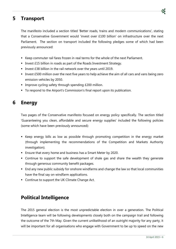#### <span id="page-5-0"></span>**5 Transport**

The manifesto included a section titled 'Better roads, trains and modern communications', stating that a Conservative Government would 'invest over £100 billion' on infrastructure over the next Parliament. The section on transport included the following pledges some of which had been previously announced:

- Keep commuter rail fares frozen in real terms for the whole of the next Parliament.
- **ID INVEST EXTERG** In roads as part of the Roads Investment Strategy.
- Invest £38 billion in the rail network over the years until 2019.
- Invest £500 million over the next five years to help achieve the aim of all cars and vans being zero emission vehicles by 2050.
- **IMPROVE CYCLING SAFETY through spending £200 million.**
- To respond to the Airport's Commission's final report upon its publication.

#### <span id="page-5-1"></span>**6 Energy**

Two pages of the Conservative manifesto focused on energy policy specifically. The section titled 'Guaranteeing you clean, affordable and secure energy supplies' included the following policies (some which have been previously announced):

- Keep energy bills as low as possible through promoting competition in the energy market (through implementing the recommendations of the Competition and Markets Authority investigation).
- **Ensure that every home and business has a Smart Meter by 2020.**
- Continue to support the safe development of shale gas and share the wealth they generate through generous community benefit packages.
- End any new public subsidy for onshore windfarms and change the law so that local communities have the final say on windfarm applications.
- **Continue to support the UK Climate Change Act.**

#### **Political Intelligence**

The 2015 general election is the most unpredictable election in over a generation. The Political Intelligence team will be following developments closely both on the campaign trail and following the outcome of the 7th May. Given the current unlikelihood of an outright majority for any party, it will be important for all organisations who engage with Government to be up to speed on the new